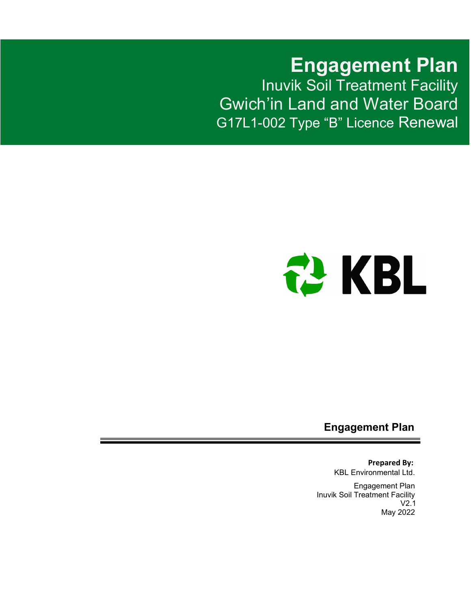**Engagement Plan** Inuvik Soil Treatment Facility Gwich'in Land and Water Board G17L1-002 Type "B" Licence Renewal



**Engagement Plan**

**Prepared By:** KBL Environmental Ltd.

Engagement Plan Inuvik Soil Treatment Facility V2.1 May 2022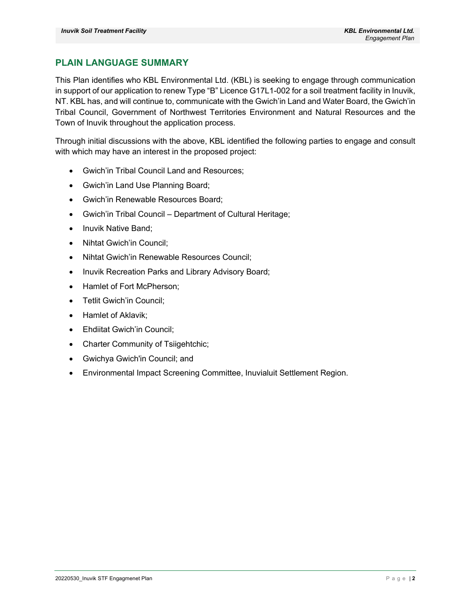### <span id="page-1-0"></span>**PLAIN LANGUAGE SUMMARY**

This Plan identifies who KBL Environmental Ltd. (KBL) is seeking to engage through communication in support of our application to renew Type "B" Licence G17L1-002 for a soil treatment facility in Inuvik, NT. KBL has, and will continue to, communicate with the Gwich'in Land and Water Board, the Gwich'in Tribal Council, Government of Northwest Territories Environment and Natural Resources and the Town of Inuvik throughout the application process.

Through initial discussions with the above, KBL identified the following parties to engage and consult with which may have an interest in the proposed project:

- Gwich'in Tribal Council Land and Resources;
- Gwich'in Land Use Planning Board;
- Gwich'in Renewable Resources Board;
- Gwich'in Tribal Council Department of Cultural Heritage;
- Inuvik Native Band;
- Nihtat Gwich'in Council;
- Nihtat Gwich'in Renewable Resources Council;
- Inuvik Recreation Parks and Library Advisory Board;
- Hamlet of Fort McPherson;
- Tetlit Gwich'in Council;
- Hamlet of Aklavik;
- Ehdiitat Gwich'in Council;
- Charter Community of Tsiigehtchic;
- Gwichya Gwich'in Council; and
- Environmental Impact Screening Committee, Inuvialuit Settlement Region.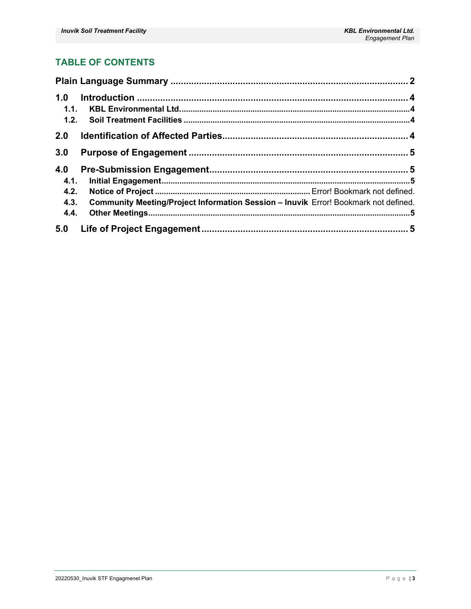### **TABLE OF CONTENTS**

| 1.0<br>1.1.                                                                                                                |  |
|----------------------------------------------------------------------------------------------------------------------------|--|
| 2.0                                                                                                                        |  |
| 3.0                                                                                                                        |  |
| 4.0<br>4.1.<br>4.2.<br>Community Meeting/Project Information Session - Inuvik Error! Bookmark not defined.<br>4.3.<br>4.4. |  |
|                                                                                                                            |  |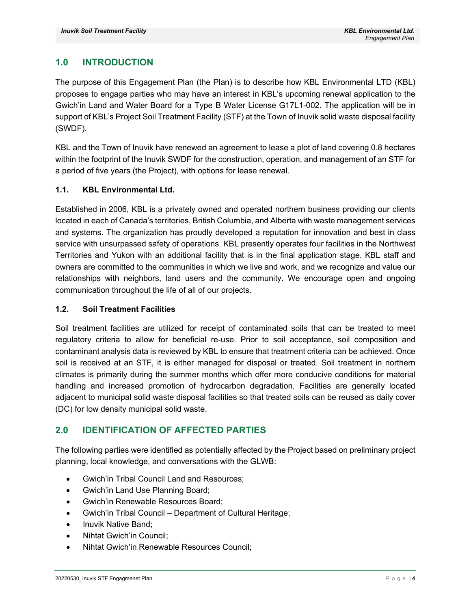### <span id="page-3-0"></span>**1.0 INTRODUCTION**

The purpose of this Engagement Plan (the Plan) is to describe how KBL Environmental LTD (KBL) proposes to engage parties who may have an interest in KBL's upcoming renewal application to the Gwich'in Land and Water Board for a Type B Water License G17L1-002. The application will be in support of KBL's Project Soil Treatment Facility (STF) at the Town of Inuvik solid waste disposal facility (SWDF).

KBL and the Town of Inuvik have renewed an agreement to lease a plot of land covering 0.8 hectares within the footprint of the Inuvik SWDF for the construction, operation, and management of an STF for a period of five years (the Project), with options for lease renewal.

#### <span id="page-3-1"></span>**1.1. KBL Environmental Ltd.**

Established in 2006, KBL is a privately owned and operated northern business providing our clients located in each of Canada's territories, British Columbia, and Alberta with waste management services and systems. The organization has proudly developed a reputation for innovation and best in class service with unsurpassed safety of operations. KBL presently operates four facilities in the Northwest Territories and Yukon with an additional facility that is in the final application stage. KBL staff and owners are committed to the communities in which we live and work, and we recognize and value our relationships with neighbors, land users and the community. We encourage open and ongoing communication throughout the life of all of our projects.

#### <span id="page-3-2"></span>**1.2. Soil Treatment Facilities**

Soil treatment facilities are utilized for receipt of contaminated soils that can be treated to meet regulatory criteria to allow for beneficial re-use. Prior to soil acceptance, soil composition and contaminant analysis data is reviewed by KBL to ensure that treatment criteria can be achieved. Once soil is received at an STF, it is either managed for disposal or treated. Soil treatment in northern climates is primarily during the summer months which offer more conducive conditions for material handling and increased promotion of hydrocarbon degradation. Facilities are generally located adjacent to municipal solid waste disposal facilities so that treated soils can be reused as daily cover (DC) for low density municipal solid waste.

### <span id="page-3-3"></span>**2.0 IDENTIFICATION OF AFFECTED PARTIES**

The following parties were identified as potentially affected by the Project based on preliminary project planning, local knowledge, and conversations with the GLWB:

- Gwich'in Tribal Council Land and Resources;
- Gwich'in Land Use Planning Board;
- Gwich'in Renewable Resources Board;
- Gwich'in Tribal Council Department of Cultural Heritage;
- Inuvik Native Band;
- Nihtat Gwich'in Council;
- Nihtat Gwich'in Renewable Resources Council;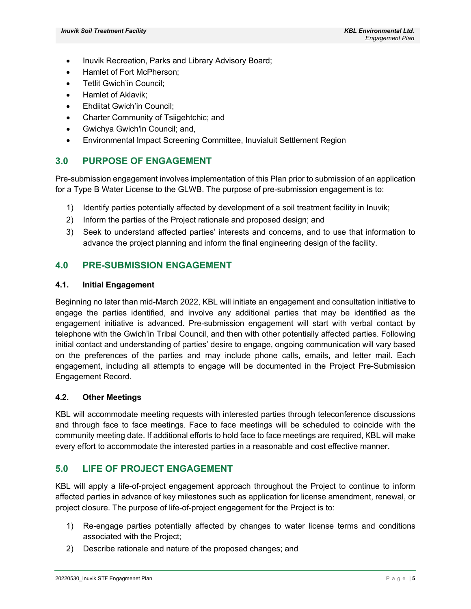- Inuvik Recreation, Parks and Library Advisory Board;
- Hamlet of Fort McPherson;
- Tetlit Gwich'in Council;
- Hamlet of Aklavik;
- Ehdiitat Gwich'in Council;
- Charter Community of Tsiigehtchic; and
- Gwichya Gwich'in Council; and,
- Environmental Impact Screening Committee, Inuvialuit Settlement Region

#### <span id="page-4-0"></span>**3.0 PURPOSE OF ENGAGEMENT**

Pre-submission engagement involves implementation of this Plan prior to submission of an application for a Type B Water License to the GLWB. The purpose of pre-submission engagement is to:

- 1) Identify parties potentially affected by development of a soil treatment facility in Inuvik;
- 2) Inform the parties of the Project rationale and proposed design; and
- 3) Seek to understand affected parties' interests and concerns, and to use that information to advance the project planning and inform the final engineering design of the facility.

#### <span id="page-4-1"></span>**4.0 PRE-SUBMISSION ENGAGEMENT**

#### <span id="page-4-2"></span>**4.1. Initial Engagement**

Beginning no later than mid-March 2022, KBL will initiate an engagement and consultation initiative to engage the parties identified, and involve any additional parties that may be identified as the engagement initiative is advanced. Pre-submission engagement will start with verbal contact by telephone with the Gwich'in Tribal Council, and then with other potentially affected parties. Following initial contact and understanding of parties' desire to engage, ongoing communication will vary based on the preferences of the parties and may include phone calls, emails, and letter mail. Each engagement, including all attempts to engage will be documented in the Project Pre-Submission Engagement Record.

#### <span id="page-4-3"></span>**4.2. Other Meetings**

KBL will accommodate meeting requests with interested parties through teleconference discussions and through face to face meetings. Face to face meetings will be scheduled to coincide with the community meeting date. If additional efforts to hold face to face meetings are required, KBL will make every effort to accommodate the interested parties in a reasonable and cost effective manner.

#### <span id="page-4-4"></span>**5.0 LIFE OF PROJECT ENGAGEMENT**

KBL will apply a life-of-project engagement approach throughout the Project to continue to inform affected parties in advance of key milestones such as application for license amendment, renewal, or project closure. The purpose of life-of-project engagement for the Project is to:

- 1) Re-engage parties potentially affected by changes to water license terms and conditions associated with the Project;
- 2) Describe rationale and nature of the proposed changes; and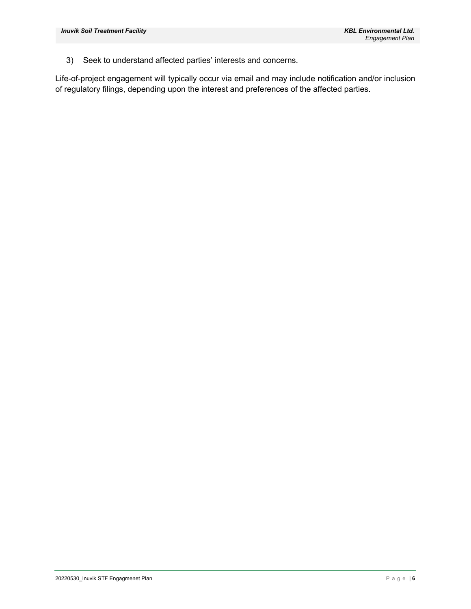3) Seek to understand affected parties' interests and concerns.

Life-of-project engagement will typically occur via email and may include notification and/or inclusion of regulatory filings, depending upon the interest and preferences of the affected parties.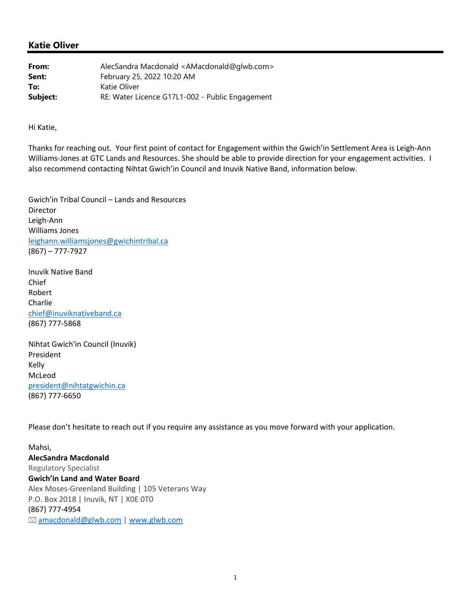| From:    | AlecSandra Macdonald <amacdonald@qlwb.com></amacdonald@qlwb.com> |
|----------|------------------------------------------------------------------|
| Sent:    | February 25, 2022 10:20 AM                                       |
| To:      | Katie Oliver                                                     |
| Subject: | RE: Water Licence G17L1-002 - Public Engagement                  |

Hi Katie,

Thanks for reaching out. Your first point of contact for Engagement within the Gwich'in Settlement Area is Leigh‐Ann Williams‐Jones at GTC Lands and Resources. She should be able to provide direction for your engagement activities. I also recommend contacting Nihtat Gwich'in Council and Inuvik Native Band, information below.

Gwich'in Tribal Council – Lands and Resources Director Leigh‐Ann Williams Jones leighann.williamsjones@gwichintribal.ca (867) – 777‐7927

Inuvik Native Band Chief Robert Charlie chief@inuviknativeband.ca (867) 777‐5868

Nihtat Gwich'in Council (Inuvik) President Kelly McLeod president@nihtatgwichin.ca (867) 777‐6650

Please don't hesitate to reach out if you require any assistance as you move forward with your application.

Mahsi, **AlecSandra Macdonald** Regulatory Specialist **Gwich'in Land and Water Board** Alex Moses‐Greenland Building | 105 Veterans Way P.O. Box 2018 | Inuvik, NT | X0E 0T0 (867) 777‐4954  $\textcircled{a}$  amacdonald@glwb.com | www.glwb.com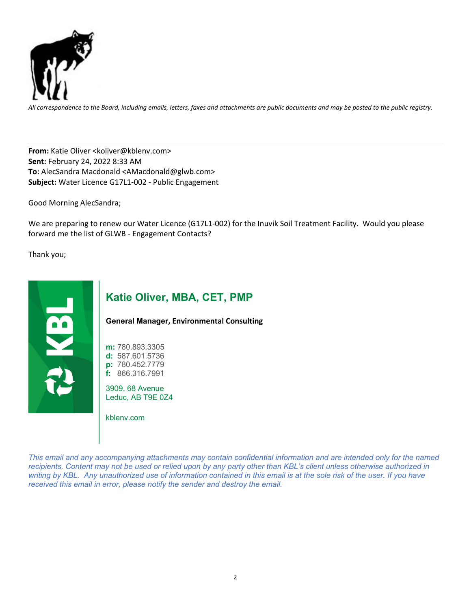

All correspondence to the Board, including emails, letters, faxes and attachments are public documents and may be posted to the public registry.

**From:** Katie Oliver <koliver@kblenv.com> **Sent:** February 24, 2022 8:33 AM **To:** AlecSandra Macdonald <AMacdonald@glwb.com> **Subject:** Water Licence G17L1‐002 ‐ Public Engagement

Good Morning AlecSandra;

We are preparing to renew our Water Licence (G17L1-002) for the Inuvik Soil Treatment Facility. Would you please forward me the list of GLWB ‐ Engagement Contacts?

Thank you;



## **Katie Oliver, MBA, CET, PMP**

**General Manager, Environmental Consulting**

**m:** 780.893.3305 **d:** 587.601.5736 **p:** 780.452.7779 **f:** 866.316.7991

3909, 68 Avenue Leduc, AB T9E 0Z4

kblenv.com

*This email and any accompanying attachments may contain confidential information and are intended only for the named recipients. Content may not be used or relied upon by any party other than KBL's client unless otherwise authorized in writing by KBL. Any unauthorized use of information contained in this email is at the sole risk of the user. If you have received this email in error, please notify the sender and destroy the email.*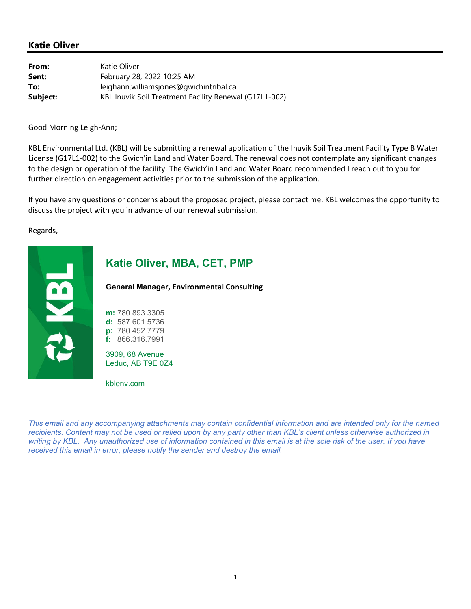| From:    | Katie Oliver                                           |
|----------|--------------------------------------------------------|
| Sent:    | February 28, 2022 10:25 AM                             |
| To:      | leighann.williamsjones@gwichintribal.ca                |
| Subject: | KBL Inuvik Soil Treatment Facility Renewal (G17L1-002) |

Good Morning Leigh‐Ann;

KBL Environmental Ltd. (KBL) will be submitting a renewal application of the Inuvik Soil Treatment Facility Type B Water License (G17L1‐002) to the Gwich'in Land and Water Board. The renewal does not contemplate any significant changes to the design or operation of the facility. The Gwich'in Land and Water Board recommended I reach out to you for further direction on engagement activities prior to the submission of the application.

If you have any questions or concerns about the proposed project, please contact me. KBL welcomes the opportunity to discuss the project with you in advance of our renewal submission.

Regards,



## **Katie Oliver, MBA, CET, PMP**

**General Manager, Environmental Consulting**

**m:** 780.893.3305 **d:** 587.601.5736 **p:** 780.452.7779 **f:** 866.316.7991

3909, 68 Avenue Leduc, AB T9E 0Z4

kblenv.com

*This email and any accompanying attachments may contain confidential information and are intended only for the named recipients. Content may not be used or relied upon by any party other than KBL's client unless otherwise authorized in writing by KBL. Any unauthorized use of information contained in this email is at the sole risk of the user. If you have received this email in error, please notify the sender and destroy the email.*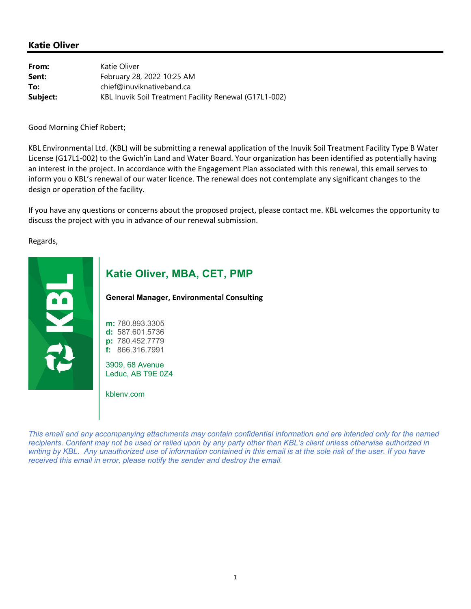| From:    | Katie Oliver                                           |
|----------|--------------------------------------------------------|
| Sent:    | February 28, 2022 10:25 AM                             |
| To:      | chief@inuviknativeband.ca                              |
| Subject: | KBL Inuvik Soil Treatment Facility Renewal (G17L1-002) |

Good Morning Chief Robert;

KBL Environmental Ltd. (KBL) will be submitting a renewal application of the Inuvik Soil Treatment Facility Type B Water License (G17L1‐002) to the Gwich'in Land and Water Board. Your organization has been identified as potentially having an interest in the project. In accordance with the Engagement Plan associated with this renewal, this email serves to inform you o KBL's renewal of our water licence. The renewal does not contemplate any significant changes to the design or operation of the facility.

If you have any questions or concerns about the proposed project, please contact me. KBL welcomes the opportunity to discuss the project with you in advance of our renewal submission.

Regards,



### **Katie Oliver, MBA, CET, PMP**

**General Manager, Environmental Consulting**

**m:** 780.893.3305 **d:** 587.601.5736 **p:** 780.452.7779 **f:** 866.316.7991

3909, 68 Avenue Leduc, AB T9E 0Z4

kblenv.com

*This email and any accompanying attachments may contain confidential information and are intended only for the named recipients. Content may not be used or relied upon by any party other than KBL's client unless otherwise authorized in*  writing by KBL. Any unauthorized use of information contained in this email is at the sole risk of the user. If you have *received this email in error, please notify the sender and destroy the email.*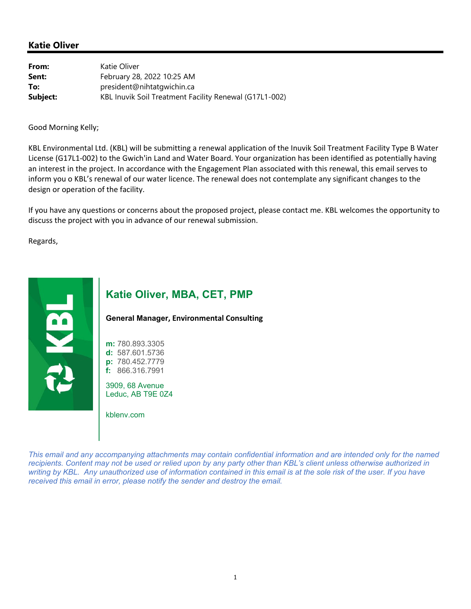| From:    | Katie Oliver                                           |
|----------|--------------------------------------------------------|
| Sent:    | February 28, 2022 10:25 AM                             |
| To:      | president@nihtatqwichin.ca                             |
| Subject: | KBL Inuvik Soil Treatment Facility Renewal (G17L1-002) |

Good Morning Kelly;

KBL Environmental Ltd. (KBL) will be submitting a renewal application of the Inuvik Soil Treatment Facility Type B Water License (G17L1‐002) to the Gwich'in Land and Water Board. Your organization has been identified as potentially having an interest in the project. In accordance with the Engagement Plan associated with this renewal, this email serves to inform you o KBL's renewal of our water licence. The renewal does not contemplate any significant changes to the design or operation of the facility.

If you have any questions or concerns about the proposed project, please contact me. KBL welcomes the opportunity to discuss the project with you in advance of our renewal submission.

Regards,



## **Katie Oliver, MBA, CET, PMP**

**General Manager, Environmental Consulting**

**m:** 780.893.3305 **d:** 587.601.5736 **p:** 780.452.7779 **f:** 866.316.7991

3909, 68 Avenue Leduc, AB T9E 0Z4

kblenv.com

*This email and any accompanying attachments may contain confidential information and are intended only for the named recipients. Content may not be used or relied upon by any party other than KBL's client unless otherwise authorized in*  writing by KBL. Any unauthorized use of information contained in this email is at the sole risk of the user. If you have *received this email in error, please notify the sender and destroy the email.*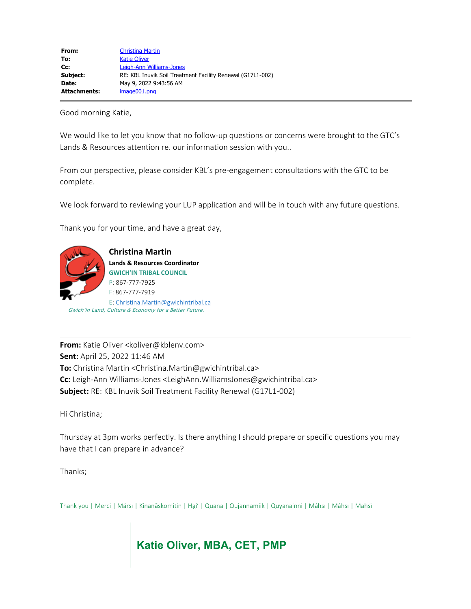| From:        | <b>Christina Martin</b>                                    |
|--------------|------------------------------------------------------------|
| To:          | <b>Katie Oliver</b>                                        |
| $Cc$ :       | Leigh-Ann Williams-Jones                                   |
| Subject:     | RE: KBL Inuvik Soil Treatment Facility Renewal (G17L1-002) |
| Date:        | May 9, 2022 9:43:56 AM                                     |
| Attachments: | image001.png                                               |

Good morning Katie,

We would like to let you know that no follow-up questions or concerns were brought to the GTC's Lands & Resources attention re. our information session with you..

From our perspective, please consider KBL's pre-engagement consultations with the GTC to be complete.

We look forward to reviewing your LUP application and will be in touch with any future questions.

Thank you for your time, and have a great day,



**Christina Martin Lands & Resources Coordinator GWICH'IN TRIBAL COUNCIL** P: 867-777-7925 F: 867-777-7919 E: [Christina.Martin@gwichintribal.ca](mailto:Christina.Martin@gwichintribal.ca) Gwich'in Land, Culture & Economy for a Better Future.

**From:** Katie Oliver <koliver@kblenv.com> **Sent:** April 25, 2022 11:46 AM **To:** Christina Martin <Christina.Martin@gwichintribal.ca> **Cc:** Leigh-Ann Williams-Jones <LeighAnn.WilliamsJones@gwichintribal.ca> **Subject:** RE: KBL Inuvik Soil Treatment Facility Renewal (G17L1-002)

Hi Christina;

Thursday at 3pm works perfectly. Is there anything I should prepare or specific questions you may have that I can prepare in advance?

Thanks;

Thank you | Merci | Mársı | Kinanāskomitin | Ha̯i' | Quana | Qujannamiik | Quyanainni | Máhsı | Máhsı | Mahsì

**Katie Oliver, MBA, CET, PMP**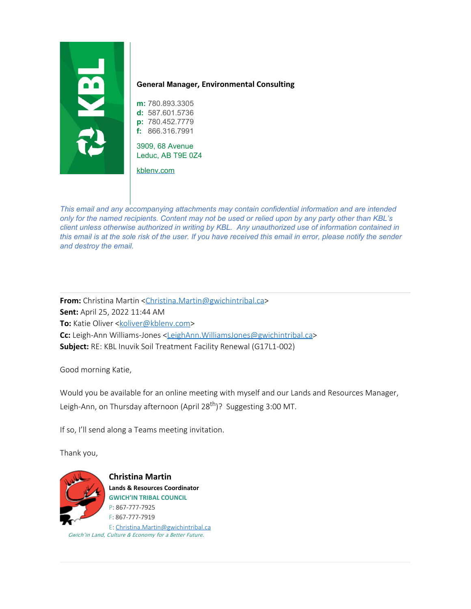

#### **General Manager, Environmental Consulting**

**m:** 780.893.3305 **d:** 587.601.5736 **p:** 780.452.7779 **f:** 866.316.7991

3909, 68 Avenue Leduc, AB T9E 0Z4

[kblenv.com](http://kblenv.com/)

*This email and any accompanying attachments may contain confidential information and are intended only for the named recipients. Content may not be used or relied upon by any party other than KBL's client unless otherwise authorized in writing by KBL. Any unauthorized use of information contained in this email is at the sole risk of the user. If you have received this email in error, please notify the sender and destroy the email.*

**From:** Christina Martin [<Christina.Martin@gwichintribal.ca](mailto:Christina.Martin@gwichintribal.ca)> **Sent:** April 25, 2022 11:44 AM **To:** Katie Oliver [<koliver@kblenv.com](mailto:koliver@kblenv.com)> **Cc:** Leigh-Ann Williams-Jones [<LeighAnn.WilliamsJones@gwichintribal.ca](mailto:LeighAnn.WilliamsJones@gwichintribal.ca)> **Subject:** RE: KBL Inuvik Soil Treatment Facility Renewal (G17L1-002)

Good morning Katie,

Would you be available for an online meeting with myself and our Lands and Resources Manager, Leigh-Ann, on Thursday afternoon (April 28<sup>th</sup>)? Suggesting 3:00 MT.

If so, I'll send along a Teams meeting invitation.

Thank you,



**Christina Martin Lands & Resources Coordinator GWICH'IN TRIBAL COUNCIL** P: 867-777-7925 F: 867-777-7919 E: [Christina.Martin@gwichintribal.ca](mailto:Christina.Martin@gwichintribal.ca) Gwich'in Land, Culture & Economy for a Better Future.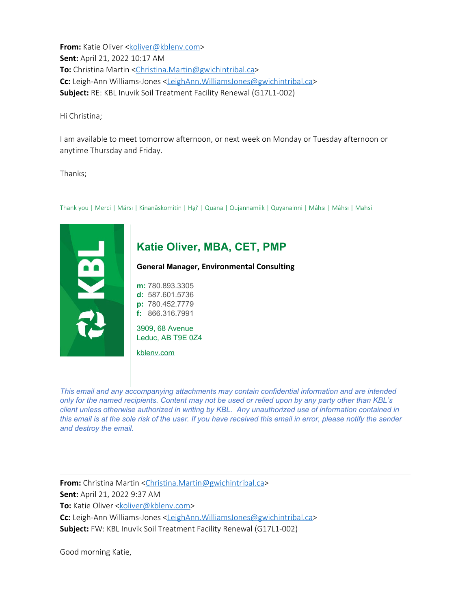**From:** Katie Oliver [<koliver@kblenv.com](mailto:koliver@kblenv.com)> **Sent:** April 21, 2022 10:17 AM **To:** Christina Martin [<Christina.Martin@gwichintribal.ca](mailto:Christina.Martin@gwichintribal.ca)> **Cc:** Leigh-Ann Williams-Jones [<LeighAnn.WilliamsJones@gwichintribal.ca](mailto:LeighAnn.WilliamsJones@gwichintribal.ca)> **Subject:** RE: KBL Inuvik Soil Treatment Facility Renewal (G17L1-002)

Hi Christina;

I am available to meet tomorrow afternoon, or next week on Monday or Tuesday afternoon or anytime Thursday and Friday.

Thanks;



*This email and any accompanying attachments may contain confidential information and are intended only for the named recipients. Content may not be used or relied upon by any party other than KBL's client unless otherwise authorized in writing by KBL. Any unauthorized use of information contained in this email is at the sole risk of the user. If you have received this email in error, please notify the sender and destroy the email.*

**From:** Christina Martin [<Christina.Martin@gwichintribal.ca](mailto:Christina.Martin@gwichintribal.ca)> **Sent:** April 21, 2022 9:37 AM **To:** Katie Oliver [<koliver@kblenv.com](mailto:koliver@kblenv.com)> **Cc:** Leigh-Ann Williams-Jones [<LeighAnn.WilliamsJones@gwichintribal.ca](mailto:LeighAnn.WilliamsJones@gwichintribal.ca)> **Subject:** FW: KBL Inuvik Soil Treatment Facility Renewal (G17L1-002)

Good morning Katie,

Thank you | Merci | Mársı | Kinanāskomitin | Ha̯i' | Quana | Qujannamiik | Quyanainni | Máhsı | Máhsı | Mahsì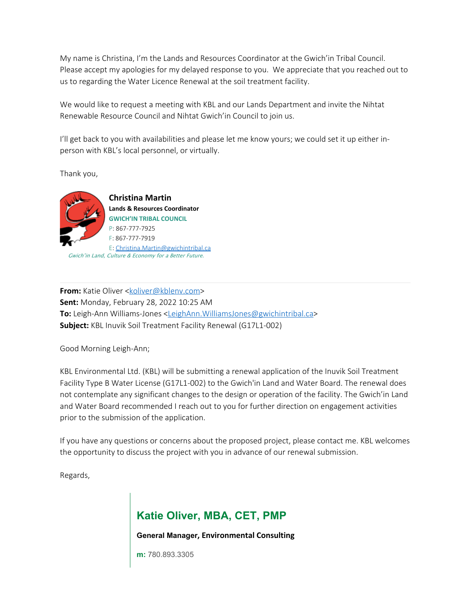My name is Christina, I'm the Lands and Resources Coordinator at the Gwich'in Tribal Council. Please accept my apologies for my delayed response to you. We appreciate that you reached out to us to regarding the Water Licence Renewal at the soil treatment facility.

We would like to request a meeting with KBL and our Lands Department and invite the Nihtat Renewable Resource Council and Nihtat Gwich'in Council to join us.

I'll get back to you with availabilities and please let me know yours; we could set it up either inperson with KBL's local personnel, or virtually.

Thank you,



**Christina Martin Lands & Resources Coordinator GWICH'IN TRIBAL COUNCIL** P: 867-777-7925 F: 867-777-7919 E: [Christina.Martin@gwichintribal.ca](mailto:Christina.Martin@gwichintribal.ca) Gwich'in Land, Culture & Economy for a Better Future.

**From:** Katie Oliver [<koliver@kblenv.com](mailto:koliver@kblenv.com)> **Sent:** Monday, February 28, 2022 10:25 AM **To:** Leigh-Ann Williams-Jones [<LeighAnn.WilliamsJones@gwichintribal.ca](mailto:LeighAnn.WilliamsJones@gwichintribal.ca)> **Subject:** KBL Inuvik Soil Treatment Facility Renewal (G17L1-002)

Good Morning Leigh-Ann;

KBL Environmental Ltd. (KBL) will be submitting a renewal application of the Inuvik Soil Treatment Facility Type B Water License (G17L1-002) to the Gwich'in Land and Water Board. The renewal does not contemplate any significant changes to the design or operation of the facility. The Gwich'in Land and Water Board recommended I reach out to you for further direction on engagement activities prior to the submission of the application.

If you have any questions or concerns about the proposed project, please contact me. KBL welcomes the opportunity to discuss the project with you in advance of our renewal submission.

Regards,

# **Katie Oliver, MBA, CET, PMP**

**General Manager, Environmental Consulting**

**m:** 780.893.3305